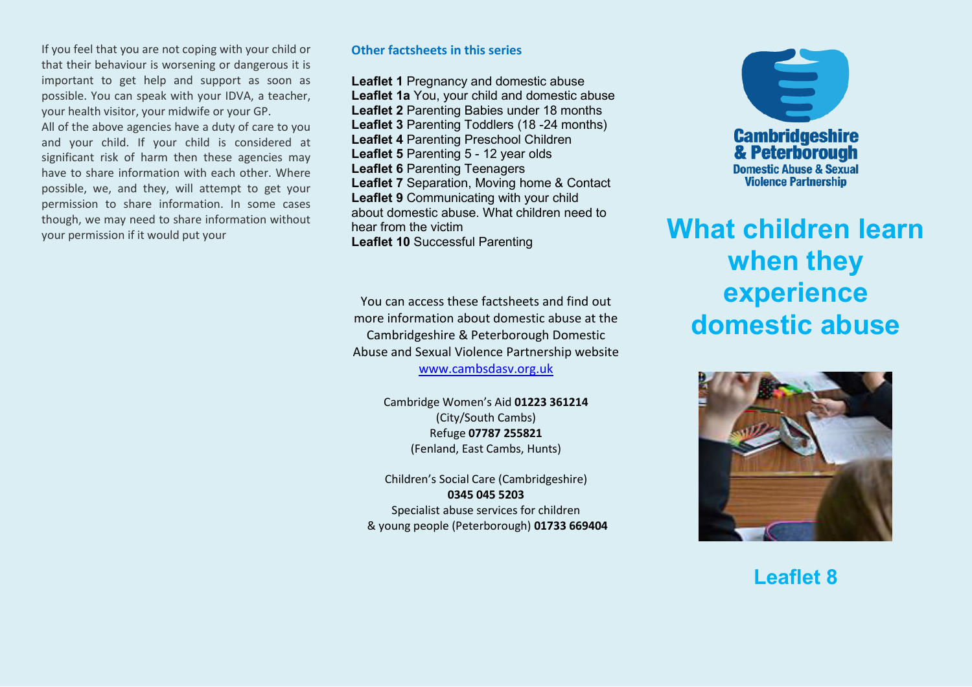If you feel that you are not coping with your child or that their behaviour is worsening or dangerous it is important to get help and support as soon as possible. You can speak with your IDVA, a teacher, your health visitor, your midwife or your GP.

All of the above agencies have a duty of care to you and your child. If your child is considered at significant risk of harm then these agencies may have to share information with each other. Where possible, we, and they, will attempt to get your permission to share information. In some cases though, we may need to share information without your permission if it would put your

#### **Other factsheets in this series**

**Leaflet 1** Pregnancy and domestic abuse **Leaflet 1a** You, your child and domestic abuse **Leaflet 2** Parenting Babies under 18 months **Leaflet 3** Parenting Toddlers (18 -24 months) **Leaflet 4** Parenting Preschool Children **Leaflet 5** Parenting 5 - 12 year olds **Leaflet 6** Parenting Teenagers **Leaflet 7** Separation, Moving home & Contact **Leaflet 9** Communicating with your child about domestic abuse. What children need to hear from the victim **Leaflet 10** Successful Parenting

You can access these factsheets and find out more information about domestic abuse at the Cambridgeshire & Peterborough Domestic Abuse and Sexual Violence Partnership website

[www.cambsdasv.org.uk](http://www.cambsdasv.org.uk/) 

Cambridge Women's Aid 01223 361214 (City/South Cambs) Refuge **07787 255821**  (Fenland, East Cambs, Hunts)

Children's Social Care (Cambridgeshire) **0345 045 5203**  Specialist abuse services for children & young people (Peterborough) **01733 669404** 



# **What children learn when they experience domestic abuse**



**Leaflet 8**